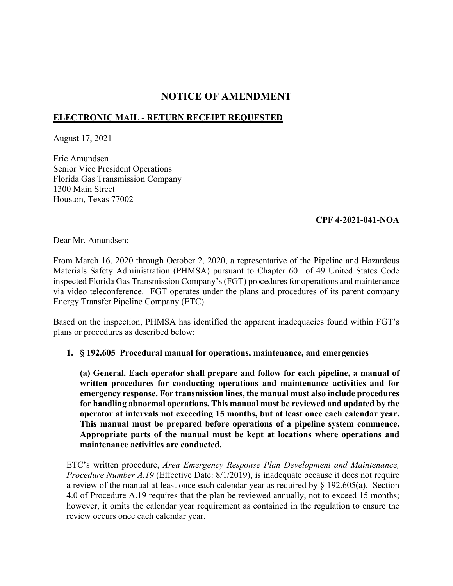# **NOTICE OF AMENDMENT**

# **ELECTRONIC MAIL - RETURN RECEIPT REQUESTED**

August 17, 2021

Eric Amundsen Senior Vice President Operations Florida Gas Transmission Company 1300 Main Street Houston, Texas 77002

## **CPF 4-2021-041-NOA**

Dear Mr. Amundsen:

From March 16, 2020 through October 2, 2020, a representative of the Pipeline and Hazardous Materials Safety Administration (PHMSA) pursuant to Chapter 601 of 49 United States Code inspected Florida Gas Transmission Company's (FGT) procedures for operations and maintenance via video teleconference. FGT operates under the plans and procedures of its parent company Energy Transfer Pipeline Company (ETC).

Based on the inspection, PHMSA has identified the apparent inadequacies found within FGT's plans or procedures as described below:

#### **1. § 192.605 Procedural manual for operations, maintenance, and emergencies**

**(a) General. Each operator shall prepare and follow for each pipeline, a manual of written procedures for conducting operations and maintenance activities and for emergency response. For transmission lines, the manual must also include procedures for handling abnormal operations. This manual must be reviewed and updated by the operator at intervals not exceeding 15 months, but at least once each calendar year. This manual must be prepared before operations of a pipeline system commence. Appropriate parts of the manual must be kept at locations where operations and maintenance activities are conducted.** 

ETC's written procedure, *Area Emergency Response Plan Development and Maintenance, Procedure Number A.19* (Effective Date: 8/1/2019), is inadequate because it does not require a review of the manual at least once each calendar year as required by § 192.605(a). Section 4.0 of Procedure A.19 requires that the plan be reviewed annually, not to exceed 15 months; however, it omits the calendar year requirement as contained in the regulation to ensure the review occurs once each calendar year.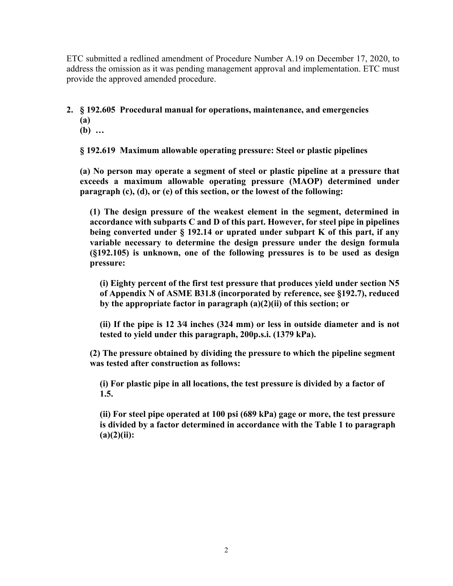ETC submitted a redlined amendment of Procedure Number A.19 on December 17, 2020, to address the omission as it was pending management approval and implementation. ETC must provide the approved amended procedure.

**2. § 192.605 Procedural manual for operations, maintenance, and emergencies** 

- **(a)**
- **(b) …**

**§ 192.619 Maximum allowable operating pressure: Steel or plastic pipelines** 

**(a) No person may operate a segment of steel or plastic pipeline at a pressure that exceeds a maximum allowable operating pressure (MAOP) determined under paragraph (c), (d), or (e) of this section, or the lowest of the following:** 

**(1) The design pressure of the weakest element in the segment, determined in accordance with subparts C and D of this part. However, for steel pipe in pipelines being converted under § 192.14 or uprated under subpart K of this part, if any variable necessary to determine the design pressure under the design formula (§192.105) is unknown, one of the following pressures is to be used as design pressure:** 

**(i) Eighty percent of the first test pressure that produces yield under section N5 of Appendix N of ASME B31.8 (incorporated by reference, see §192.7), reduced by the appropriate factor in paragraph (a)(2)(ii) of this section; or** 

**(ii) If the pipe is 12 3∕4 inches (324 mm) or less in outside diameter and is not tested to yield under this paragraph, 200p.s.i. (1379 kPa).** 

**(2) The pressure obtained by dividing the pressure to which the pipeline segment was tested after construction as follows:** 

**(i) For plastic pipe in all locations, the test pressure is divided by a factor of 1.5.** 

**(ii) For steel pipe operated at 100 psi (689 kPa) gage or more, the test pressure is divided by a factor determined in accordance with the Table 1 to paragraph (a)(2)(ii):**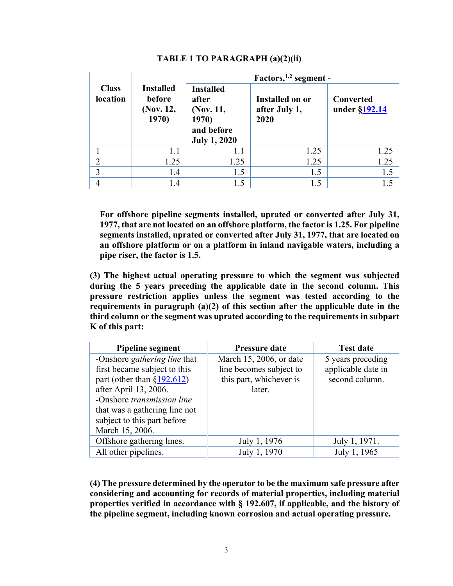|                          | <b>Installed</b><br>before<br>(Nov. 12,<br>1970) | Factors, $1,2$ segment -                                                             |                                          |                            |
|--------------------------|--------------------------------------------------|--------------------------------------------------------------------------------------|------------------------------------------|----------------------------|
| <b>Class</b><br>location |                                                  | <b>Installed</b><br>after<br>(Nov. 11,<br>1970)<br>and before<br><b>July 1, 2020</b> | Installed on or<br>after July 1,<br>2020 | Converted<br>under §192.14 |
|                          | 1.1                                              | 1.1                                                                                  | 1.25                                     | 1.25                       |
| $\overline{2}$           | 1.25                                             | 1.25                                                                                 | 1.25                                     | 1.25                       |
| 3                        | 1.4                                              | 1.5                                                                                  | 1.5                                      | 1.5                        |
| 4                        | 1.4                                              | 1.5                                                                                  | 1.5                                      | 1.5                        |

## **TABLE 1 TO PARAGRAPH (a)(2)(ii)**

**For offshore pipeline segments installed, uprated or converted after July 31, 1977, that are not located on an offshore platform, the factor is 1.25. For pipeline segments installed, uprated or converted after July 31, 1977, that are located on an offshore platform or on a platform in inland navigable waters, including a pipe riser, the factor is 1.5.** 

**(3) The highest actual operating pressure to which the segment was subjected during the 5 years preceding the applicable date in the second column. This pressure restriction applies unless the segment was tested according to the requirements in paragraph (a)(2) of this section after the applicable date in the third column or the segment was uprated according to the requirements in subpart K of this part:** 

| <b>Pipeline segment</b>         | Pressure date           | <b>Test date</b>   |
|---------------------------------|-------------------------|--------------------|
| -Onshore gathering line that    | March 15, 2006, or date | 5 years preceding  |
| first became subject to this    | line becomes subject to | applicable date in |
| part (other than $\S 192.612$ ) | this part, whichever is | second column.     |
| after April 13, 2006.           | later.                  |                    |
| -Onshore transmission line      |                         |                    |
| that was a gathering line not   |                         |                    |
| subject to this part before     |                         |                    |
| March 15, 2006.                 |                         |                    |
| Offshore gathering lines.       | July 1, 1976            | July 1, 1971.      |
| All other pipelines.            | July 1, 1970            | July 1, 1965       |

**(4) The pressure determined by the operator to be the maximum safe pressure after considering and accounting for records of material properties, including material properties verified in accordance with § 192.607, if applicable, and the history of the pipeline segment, including known corrosion and actual operating pressure.**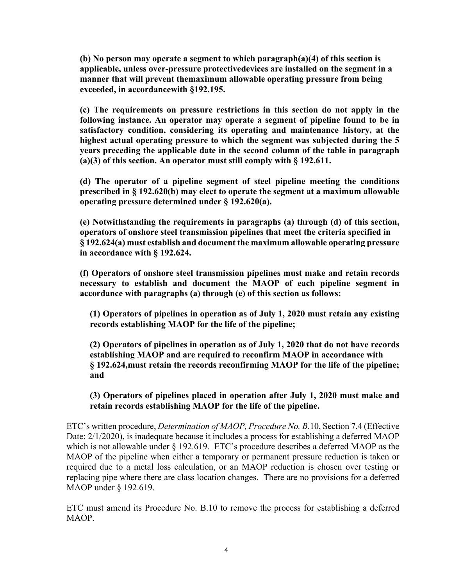manner that will prevent themaximum allowable operating pressure from being exceeded, in accordancewith §192.195. **(b) No person may operate a segment to which paragraph(a)(4) of this section is applicable, unless over-pressure protectivedevices are installed on the segment in a** 

**(c) The requirements on pressure restrictions in this section do not apply in the following instance. An operator may operate a segment of pipeline found to be in satisfactory condition, considering its operating and maintenance history, at the highest actual operating pressure to which the segment was subjected during the 5 years preceding the applicable date in the second column of the table in paragraph (a)(3) of this section. An operator must still comply with § 192.611.** 

**(d) The operator of a pipeline segment of steel pipeline meeting the conditions prescribed in § 192.620(b) may elect to operate the segment at a maximum allowable operating pressure determined under § 192.620(a).** 

**(e) Notwithstanding the requirements in paragraphs (a) through (d) of this section, operators of onshore steel transmission pipelines that meet the criteria specified in § 192.624(a) must establish and document the maximum allowable operating pressure in accordance with § 192.624.** 

**(f) Operators of onshore steel transmission pipelines must make and retain records necessary to establish and document the MAOP of each pipeline segment in accordance with paragraphs (a) through (e) of this section as follows:** 

**(1) Operators of pipelines in operation as of July 1, 2020 must retain any existing records establishing MAOP for the life of the pipeline;** 

**(2) Operators of pipelines in operation as of July 1, 2020 that do not have records establishing MAOP and are required to reconfirm MAOP in accordance with § 192.624,must retain the records reconfirming MAOP for the life of the pipeline; and** 

**(3) Operators of pipelines placed in operation after July 1, 2020 must make and retain records establishing MAOP for the life of the pipeline.** 

ETC's written procedure, *Determination of MAOP, Procedure No. B.*10, Section 7.4 (Effective Date:  $2/1/2020$ ), is inadequate because it includes a process for establishing a deferred MAOP which is not allowable under § 192.619. ETC's procedure describes a deferred MAOP as the MAOP of the pipeline when either a temporary or permanent pressure reduction is taken or required due to a metal loss calculation, or an MAOP reduction is chosen over testing or replacing pipe where there are class location changes. There are no provisions for a deferred MAOP under § 192.619.

ETC must amend its Procedure No. B.10 to remove the process for establishing a deferred MAOP.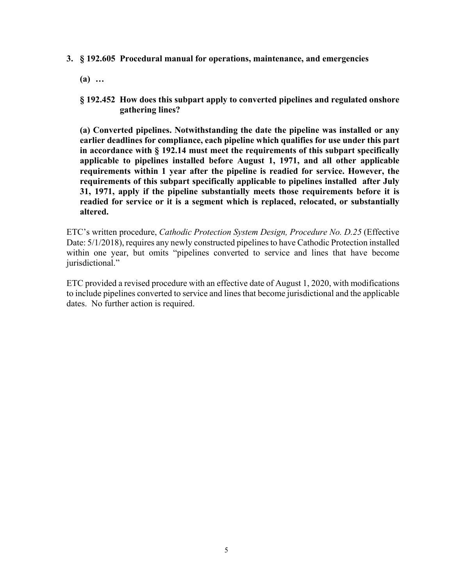- **3. § 192.605 Procedural manual for operations, maintenance, and emergencies** 
	- **(a) …**
	- **§ 192.452 How does this subpart apply to converted pipelines and regulated onshore gathering lines?**

**(a) Converted pipelines. Notwithstanding the date the pipeline was installed or any earlier deadlines for compliance, each pipeline which qualifies for use under this part in accordance with § 192.14 must meet the requirements of this subpart specifically applicable to pipelines installed before August 1, 1971, and all other applicable requirements within 1 year after the pipeline is readied for service. However, the requirements of this subpart specifically applicable to pipelines installed after July 31, 1971, apply if the pipeline substantially meets those requirements before it is readied for service or it is a segment which is replaced, relocated, or substantially altered.** 

ETC's written procedure, *Cathodic Protection System Design, Procedure No. D.25* (Effective Date: 5/1/2018), requires any newly constructed pipelines to have Cathodic Protection installed within one year, but omits "pipelines converted to service and lines that have become jurisdictional."

ETC provided a revised procedure with an effective date of August 1, 2020, with modifications to include pipelines converted to service and lines that become jurisdictional and the applicable dates. No further action is required.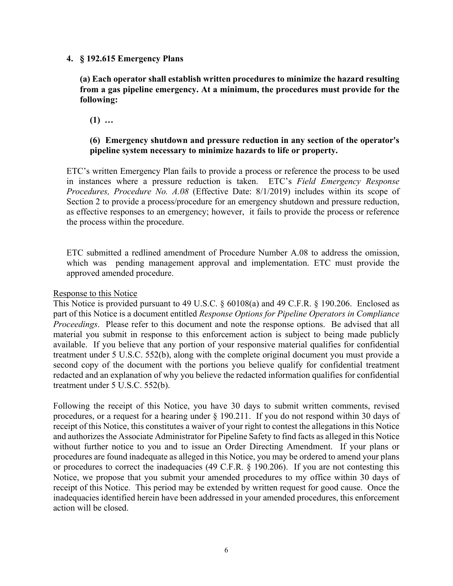#### **4. § 192.615 Emergency Plans**

**(a) Each operator shall establish written procedures to minimize the hazard resulting from a gas pipeline emergency. At a minimum, the procedures must provide for the following:** 

**(1) …** 

## **(6) Emergency shutdown and pressure reduction in any section of the operator's pipeline system necessary to minimize hazards to life or property.**

ETC's written Emergency Plan fails to provide a process or reference the process to be used in instances where a pressure reduction is taken. ETC's *Field Emergency Response Procedures, Procedure No. A.08* (Effective Date: 8/1/2019) includes within its scope of Section 2 to provide a process/procedure for an emergency shutdown and pressure reduction, as effective responses to an emergency; however, it fails to provide the process or reference the process within the procedure.

ETC submitted a redlined amendment of Procedure Number A.08 to address the omission, which was pending management approval and implementation. ETC must provide the approved amended procedure.

#### Response to this Notice

This Notice is provided pursuant to 49 U.S.C. § 60108(a) and 49 C.F.R. § 190.206. Enclosed as part of this Notice is a document entitled *Response Options for Pipeline Operators in Compliance Proceedings*. Please refer to this document and note the response options. Be advised that all material you submit in response to this enforcement action is subject to being made publicly available. If you believe that any portion of your responsive material qualifies for confidential treatment under 5 U.S.C. 552(b), along with the complete original document you must provide a second copy of the document with the portions you believe qualify for confidential treatment redacted and an explanation of why you believe the redacted information qualifies for confidential treatment under 5 U.S.C. 552(b).

Following the receipt of this Notice, you have 30 days to submit written comments, revised procedures, or a request for a hearing under § 190.211. If you do not respond within 30 days of receipt of this Notice, this constitutes a waiver of your right to contest the allegations in this Notice and authorizes the Associate Administrator for Pipeline Safety to find facts as alleged in this Notice without further notice to you and to issue an Order Directing Amendment. If your plans or procedures are found inadequate as alleged in this Notice, you may be ordered to amend your plans or procedures to correct the inadequacies (49 C.F.R. § 190.206). If you are not contesting this Notice, we propose that you submit your amended procedures to my office within 30 days of receipt of this Notice. This period may be extended by written request for good cause. Once the inadequacies identified herein have been addressed in your amended procedures, this enforcement action will be closed.